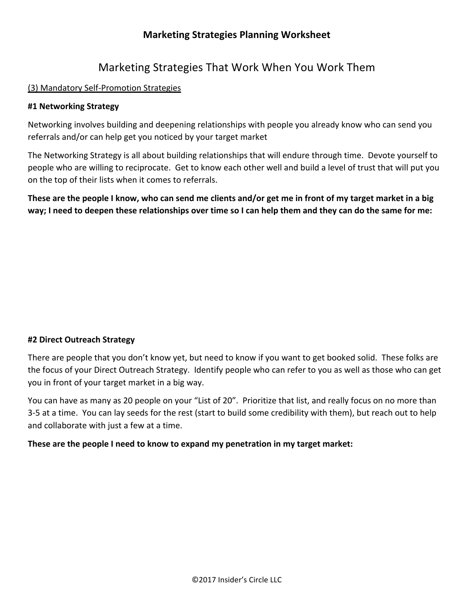# Marketing Strategies That Work When You Work Them

## (3) Mandatory Self-Promotion Strategies

### **#1 Networking Strategy**

Networking involves building and deepening relationships with people you already know who can send you referrals and/or can help get you noticed by your target market

The Networking Strategy is all about building relationships that will endure through time. Devote yourself to people who are willing to reciprocate. Get to know each other well and build a level of trust that will put you on the top of their lists when it comes to referrals.

**These are the people I know, who can send me clients and/or get me in front of my target market in a big** way; I need to deepen these relationships over time so I can help them and they can do the same for me:

### **#2 Direct Outreach Strategy**

There are people that you don't know yet, but need to know if you want to get booked solid. These folks are the focus of your Direct Outreach Strategy. Identify people who can refer to you as well as those who can get you in front of your target market in a big way.

You can have as many as 20 people on your "List of 20". Prioritize that list, and really focus on no more than 3-5 at a time. You can lay seeds for the rest (start to build some credibility with them), but reach out to help and collaborate with just a few at a time.

### **These are the people I need to know to expand my penetration in my target market:**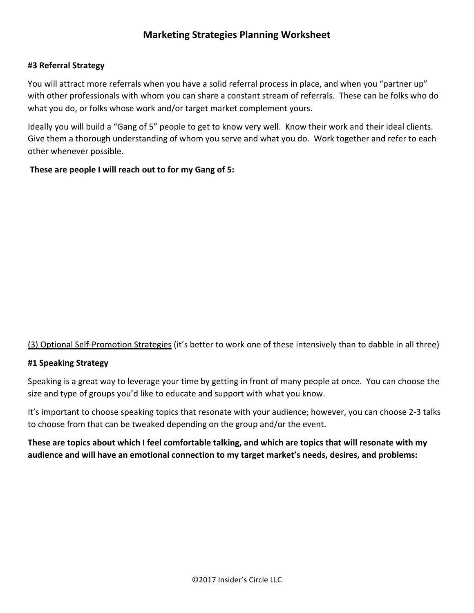# **#3 Referral Strategy**

You will attract more referrals when you have a solid referral process in place, and when you "partner up" with other professionals with whom you can share a constant stream of referrals. These can be folks who do what you do, or folks whose work and/or target market complement yours.

Ideally you will build a "Gang of 5" people to get to know very well. Know their work and their ideal clients. Give them a thorough understanding of whom you serve and what you do. Work together and refer to each other whenever possible.

**These are people I will reach out to for my Gang of 5:** 

(3) Optional Self-Promotion Strategies (it's better to work one of these intensively than to dabble in all three)

### **#1 Speaking Strategy**

Speaking is a great way to leverage your time by getting in front of many people at once. You can choose the size and type of groups you'd like to educate and support with what you know.

It's important to choose speaking topics that resonate with your audience; however, you can choose 2-3 talks to choose from that can be tweaked depending on the group and/or the event.

These are topics about which I feel comfortable talking, and which are topics that will resonate with my audience and will have an emotional connection to my target market's needs, desires, and problems: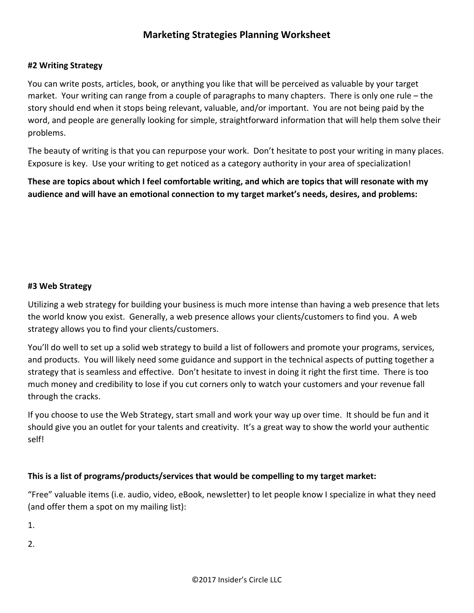## **#2 Writing Strategy**

You can write posts, articles, book, or anything you like that will be perceived as valuable by your target market. Your writing can range from a couple of paragraphs to many chapters. There is only one rule – the story should end when it stops being relevant, valuable, and/or important. You are not being paid by the word, and people are generally looking for simple, straightforward information that will help them solve their problems. 

The beauty of writing is that you can repurpose your work. Don't hesitate to post your writing in many places. Exposure is key. Use your writing to get noticed as a category authority in your area of specialization!

**These are topics about which I feel comfortable writing, and which are topics that will resonate with my** audience and will have an emotional connection to my target market's needs, desires, and problems:

#### **#3 Web Strategy**

Utilizing a web strategy for building your business is much more intense than having a web presence that lets the world know you exist. Generally, a web presence allows your clients/customers to find you. A web strategy allows you to find your clients/customers.

You'll do well to set up a solid web strategy to build a list of followers and promote your programs, services, and products. You will likely need some guidance and support in the technical aspects of putting together a strategy that is seamless and effective. Don't hesitate to invest in doing it right the first time. There is too much money and credibility to lose if you cut corners only to watch your customers and your revenue fall through the cracks.

If you choose to use the Web Strategy, start small and work your way up over time. It should be fun and it should give you an outlet for your talents and creativity. It's a great way to show the world your authentic self! 

### This is a list of programs/products/services that would be compelling to my target market:

"Free" valuable items (i.e. audio, video, eBook, newsletter) to let people know I specialize in what they need (and offer them a spot on my mailing list):

1. 

2.